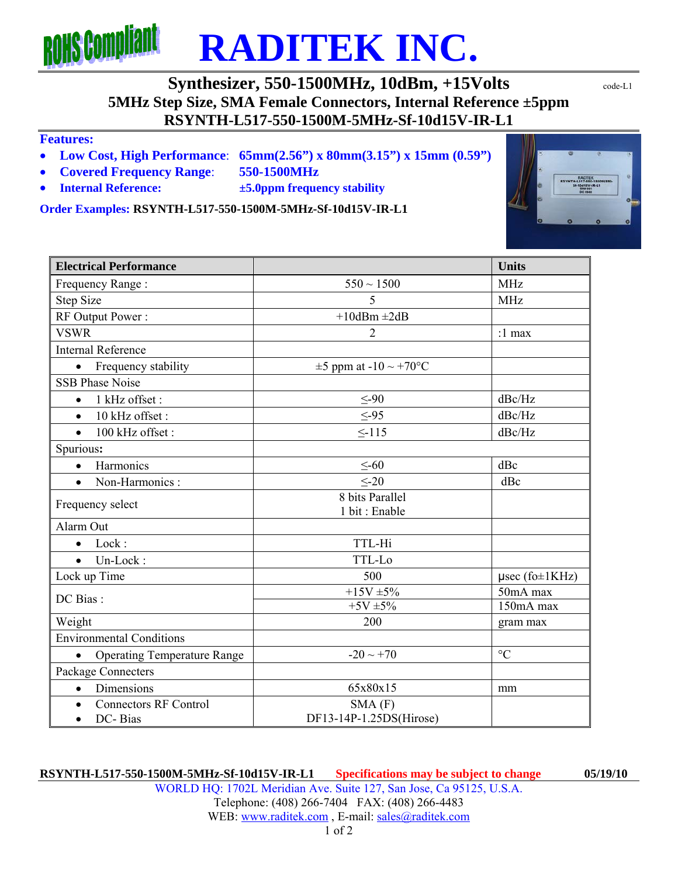# **ROHS Compliant RADITEK INC.**

**Synthesizer, 550-1500MHz, 10dBm, +15Volts**  $\text{code-L1}$ **5MHz Step Size, SMA Female Connectors, Internal Reference ±5ppm RSYNTH-L517-550-1500M-5MHz-Sf-10d15V-IR-L1** 

### **Features:**

- **Low Cost, High Performance**: **65mm(2.56") x 80mm(3.15") x 15mm (0.59")**
- **Covered Frequency Range**: **550-1500MHz**
- **Internal Reference: ±5.0ppm frequency stability**

**Order Examples: RSYNTH-L517-550-1500M-5MHz-Sf-10d15V-IR-L1** 

**Electrical Performance Units Electrical Performance Units** Frequency Range :  $550 \sim 1500$  MHz Step Size 5 MHz RF Output Power :  $+10dBm \pm 2dB$ VSWR  $\vert$  2  $\vert$  :1 max Internal Reference • Frequency stability  $\pm 5$  ppm at  $-10 \sim +70$ °C SSB Phase Noise •  $1 \text{ kHz offset}$ :  $\leq -90$  dBc/Hz •  $10 \text{ kHz}$  offset :  $\leq -95$  dBc/Hz •  $100 \text{ kHz offset}$ :  $\leq -115$  dBc/Hz Spurious**:**  $\bullet$  Harmonics  $\leq -60$  dBc • Non-Harmonics :  $\leq -20$  dBc Frequency select 8 bits Parallel 1 bit : Enable Alarm Out Lock : TTL-Hi Un-Lock : TTL-Lo Lock up Time  $500$   $\mu$ sec (fo $\pm$ 1KHz)  $\frac{+15V \pm 5\%}{+5V \pm 5\%}$  50mA max  $+5V \pm 5\%$  150mA max 150mA max Weight and the contract of the contract of the 200 gram max Environmental Conditions • Operating Temperature Range  $-20 \sim +70$ Package Connecters • Dimensions  $\vert$  65x80x15 mm • Connectors RF Control DC- Bias SMA (F) DF13-14P-1.25DS(Hirose)

## **RSYNTH-L517-550-1500M-5MHz-Sf-10d15V-IR-L1 Specifications may be subject to change 05/19/10**

WORLD HQ: 1702L Meridian Ave. Suite 127, San Jose, Ca 95125, U.S.A. Telephone: (408) 266-7404 FAX: (408) 266-4483 WEB: www.raditek.com, E-mail: sales@raditek.com